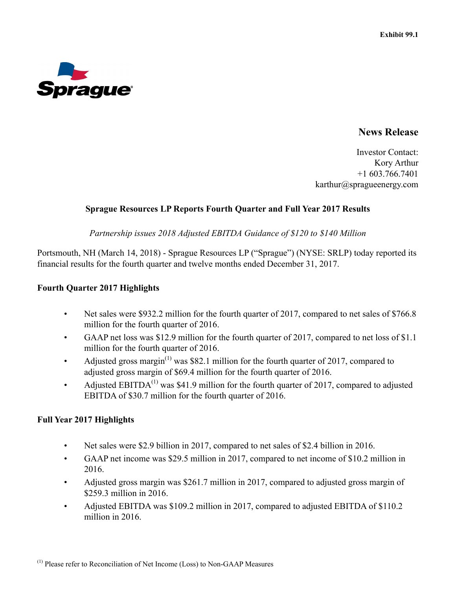

# **News Release**

Investor Contact: Kory Arthur +1 603.766.7401 karthur@spragueenergy.com

## **Sprague Resources LP Reports Fourth Quarter and Full Year 2017 Results**

*Partnership issues 2018 Adjusted EBITDA Guidance of \$120 to \$140 Million*

Portsmouth, NH (March 14, 2018) - Sprague Resources LP ("Sprague") (NYSE: SRLP) today reported its financial results for the fourth quarter and twelve months ended December 31, 2017.

#### **Fourth Quarter 2017 Highlights**

- Net sales were \$932.2 million for the fourth quarter of 2017, compared to net sales of \$766.8 million for the fourth quarter of 2016.
- GAAP net loss was \$12.9 million for the fourth quarter of 2017, compared to net loss of \$1.1 million for the fourth quarter of 2016.
- Adjusted gross margin<sup>(1)</sup> was \$82.1 million for the fourth quarter of 2017, compared to adjusted gross margin of \$69.4 million for the fourth quarter of 2016.
- Adjusted EBITDA<sup>(1)</sup> was \$41.9 million for the fourth quarter of 2017, compared to adjusted EBITDA of \$30.7 million for the fourth quarter of 2016.

## **Full Year 2017 Highlights**

- Net sales were \$2.9 billion in 2017, compared to net sales of \$2.4 billion in 2016.
- GAAP net income was \$29.5 million in 2017, compared to net income of \$10.2 million in 2016.
- Adjusted gross margin was \$261.7 million in 2017, compared to adjusted gross margin of \$259.3 million in 2016.
- Adjusted EBITDA was \$109.2 million in 2017, compared to adjusted EBITDA of \$110.2 million in 2016.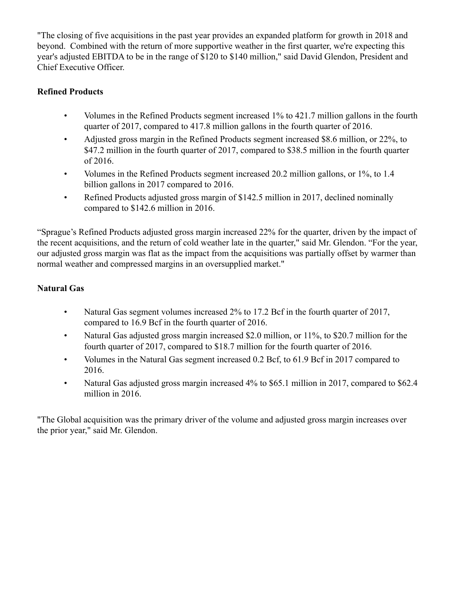"The closing of five acquisitions in the past year provides an expanded platform for growth in 2018 and beyond. Combined with the return of more supportive weather in the first quarter, we're expecting this year's adjusted EBITDA to be in the range of \$120 to \$140 million," said David Glendon, President and Chief Executive Officer.

# **Refined Products**

- Volumes in the Refined Products segment increased 1% to 421.7 million gallons in the fourth quarter of 2017, compared to 417.8 million gallons in the fourth quarter of 2016.
- Adjusted gross margin in the Refined Products segment increased \$8.6 million, or 22%, to \$47.2 million in the fourth quarter of 2017, compared to \$38.5 million in the fourth quarter of 2016.
- Volumes in the Refined Products segment increased 20.2 million gallons, or 1%, to 1.4 billion gallons in 2017 compared to 2016.
- Refined Products adjusted gross margin of \$142.5 million in 2017, declined nominally compared to \$142.6 million in 2016.

"Sprague's Refined Products adjusted gross margin increased 22% for the quarter, driven by the impact of the recent acquisitions, and the return of cold weather late in the quarter," said Mr. Glendon. "For the year, our adjusted gross margin was flat as the impact from the acquisitions was partially offset by warmer than normal weather and compressed margins in an oversupplied market."

# **Natural Gas**

- Natural Gas segment volumes increased 2% to 17.2 Bcf in the fourth quarter of 2017, compared to 16.9 Bcf in the fourth quarter of 2016.
- Natural Gas adjusted gross margin increased \$2.0 million, or 11%, to \$20.7 million for the fourth quarter of 2017, compared to \$18.7 million for the fourth quarter of 2016.
- Volumes in the Natural Gas segment increased 0.2 Bcf, to 61.9 Bcf in 2017 compared to 2016.
- Natural Gas adjusted gross margin increased 4% to \$65.1 million in 2017, compared to \$62.4 million in 2016.

"The Global acquisition was the primary driver of the volume and adjusted gross margin increases over the prior year," said Mr. Glendon.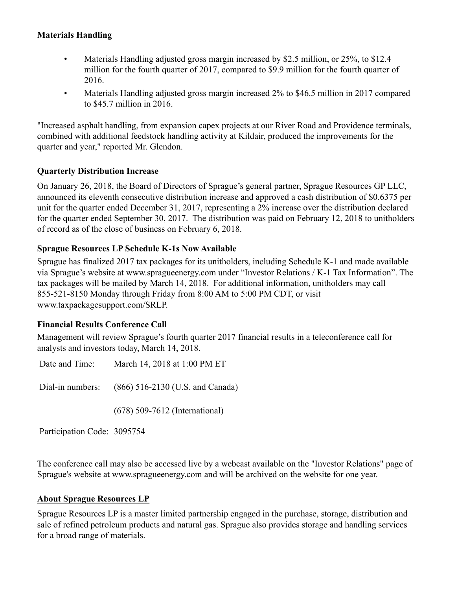## **Materials Handling**

- Materials Handling adjusted gross margin increased by \$2.5 million, or 25%, to \$12.4 million for the fourth quarter of 2017, compared to \$9.9 million for the fourth quarter of 2016.
- Materials Handling adjusted gross margin increased 2% to \$46.5 million in 2017 compared to \$45.7 million in 2016.

"Increased asphalt handling, from expansion capex projects at our River Road and Providence terminals, combined with additional feedstock handling activity at Kildair, produced the improvements for the quarter and year," reported Mr. Glendon.

## **Quarterly Distribution Increase**

On January 26, 2018, the Board of Directors of Sprague's general partner, Sprague Resources GP LLC, announced its eleventh consecutive distribution increase and approved a cash distribution of \$0.6375 per unit for the quarter ended December 31, 2017, representing a 2% increase over the distribution declared for the quarter ended September 30, 2017. The distribution was paid on February 12, 2018 to unitholders of record as of the close of business on February 6, 2018.

## **Sprague Resources LP Schedule K-1s Now Available**

Sprague has finalized 2017 tax packages for its unitholders, including Schedule K-1 and made available via Sprague's website at www.spragueenergy.com under "Investor Relations / K-1 Tax Information". The tax packages will be mailed by March 14, 2018. For additional information, unitholders may call 855-521-8150 Monday through Friday from 8:00 AM to 5:00 PM CDT, or visit www.taxpackagesupport.com/SRLP.

## **Financial Results Conference Call**

Management will review Sprague's fourth quarter 2017 financial results in a teleconference call for analysts and investors today, March 14, 2018.

| Date and Time: | March 14, 2018 at 1:00 PM ET                      |
|----------------|---------------------------------------------------|
|                | Dial-in numbers: (866) 516-2130 (U.S. and Canada) |
|                | $(678)$ 509-7612 (International)                  |

Participation Code: 3095754

The conference call may also be accessed live by a webcast available on the "Investor Relations" page of Sprague's website at www.spragueenergy.com and will be archived on the website for one year.

## **About Sprague Resources LP**

Sprague Resources LP is a master limited partnership engaged in the purchase, storage, distribution and sale of refined petroleum products and natural gas. Sprague also provides storage and handling services for a broad range of materials.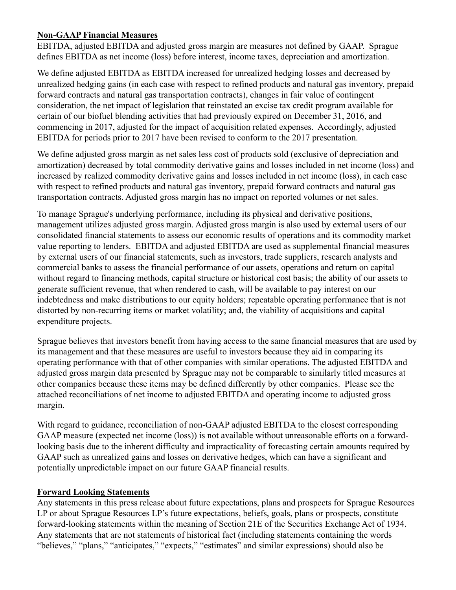# **Non-GAAP Financial Measures**

EBITDA, adjusted EBITDA and adjusted gross margin are measures not defined by GAAP. Sprague defines EBITDA as net income (loss) before interest, income taxes, depreciation and amortization.

We define adjusted EBITDA as EBITDA increased for unrealized hedging losses and decreased by unrealized hedging gains (in each case with respect to refined products and natural gas inventory, prepaid forward contracts and natural gas transportation contracts), changes in fair value of contingent consideration, the net impact of legislation that reinstated an excise tax credit program available for certain of our biofuel blending activities that had previously expired on December 31, 2016, and commencing in 2017, adjusted for the impact of acquisition related expenses. Accordingly, adjusted EBITDA for periods prior to 2017 have been revised to conform to the 2017 presentation.

We define adjusted gross margin as net sales less cost of products sold (exclusive of depreciation and amortization) decreased by total commodity derivative gains and losses included in net income (loss) and increased by realized commodity derivative gains and losses included in net income (loss), in each case with respect to refined products and natural gas inventory, prepaid forward contracts and natural gas transportation contracts. Adjusted gross margin has no impact on reported volumes or net sales.

To manage Sprague's underlying performance, including its physical and derivative positions, management utilizes adjusted gross margin. Adjusted gross margin is also used by external users of our consolidated financial statements to assess our economic results of operations and its commodity market value reporting to lenders. EBITDA and adjusted EBITDA are used as supplemental financial measures by external users of our financial statements, such as investors, trade suppliers, research analysts and commercial banks to assess the financial performance of our assets, operations and return on capital without regard to financing methods, capital structure or historical cost basis; the ability of our assets to generate sufficient revenue, that when rendered to cash, will be available to pay interest on our indebtedness and make distributions to our equity holders; repeatable operating performance that is not distorted by non-recurring items or market volatility; and, the viability of acquisitions and capital expenditure projects.

Sprague believes that investors benefit from having access to the same financial measures that are used by its management and that these measures are useful to investors because they aid in comparing its operating performance with that of other companies with similar operations. The adjusted EBITDA and adjusted gross margin data presented by Sprague may not be comparable to similarly titled measures at other companies because these items may be defined differently by other companies. Please see the attached reconciliations of net income to adjusted EBITDA and operating income to adjusted gross margin.

With regard to guidance, reconciliation of non-GAAP adjusted EBITDA to the closest corresponding GAAP measure (expected net income (loss)) is not available without unreasonable efforts on a forwardlooking basis due to the inherent difficulty and impracticality of forecasting certain amounts required by GAAP such as unrealized gains and losses on derivative hedges, which can have a significant and potentially unpredictable impact on our future GAAP financial results.

# **Forward Looking Statements**

Any statements in this press release about future expectations, plans and prospects for Sprague Resources LP or about Sprague Resources LP's future expectations, beliefs, goals, plans or prospects, constitute forward-looking statements within the meaning of Section 21E of the Securities Exchange Act of 1934. Any statements that are not statements of historical fact (including statements containing the words "believes," "plans," "anticipates," "expects," "estimates" and similar expressions) should also be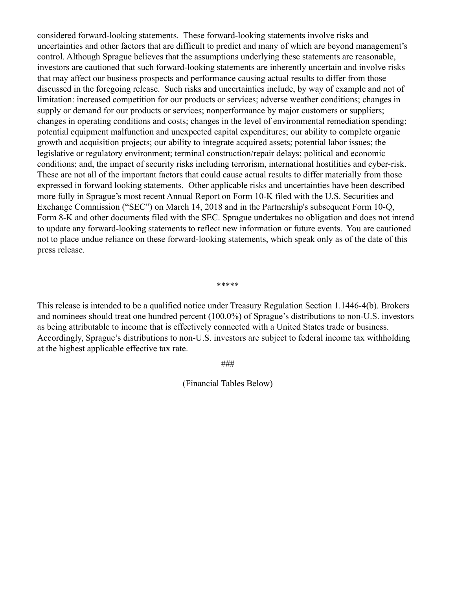considered forward-looking statements. These forward-looking statements involve risks and uncertainties and other factors that are difficult to predict and many of which are beyond management's control. Although Sprague believes that the assumptions underlying these statements are reasonable, investors are cautioned that such forward-looking statements are inherently uncertain and involve risks that may affect our business prospects and performance causing actual results to differ from those discussed in the foregoing release. Such risks and uncertainties include, by way of example and not of limitation: increased competition for our products or services; adverse weather conditions; changes in supply or demand for our products or services; nonperformance by major customers or suppliers; changes in operating conditions and costs; changes in the level of environmental remediation spending; potential equipment malfunction and unexpected capital expenditures; our ability to complete organic growth and acquisition projects; our ability to integrate acquired assets; potential labor issues; the legislative or regulatory environment; terminal construction/repair delays; political and economic conditions; and, the impact of security risks including terrorism, international hostilities and cyber-risk. These are not all of the important factors that could cause actual results to differ materially from those expressed in forward looking statements. Other applicable risks and uncertainties have been described more fully in Sprague's most recent Annual Report on Form 10-K filed with the U.S. Securities and Exchange Commission ("SEC") on March 14, 2018 and in the Partnership's subsequent Form 10-Q, Form 8-K and other documents filed with the SEC. Sprague undertakes no obligation and does not intend to update any forward-looking statements to reflect new information or future events. You are cautioned not to place undue reliance on these forward-looking statements, which speak only as of the date of this press release.

#### \*\*\*\*\*

This release is intended to be a qualified notice under Treasury Regulation Section 1.1446-4(b). Brokers and nominees should treat one hundred percent (100.0%) of Sprague's distributions to non-U.S. investors as being attributable to income that is effectively connected with a United States trade or business. Accordingly, Sprague's distributions to non-U.S. investors are subject to federal income tax withholding at the highest applicable effective tax rate.

###

(Financial Tables Below)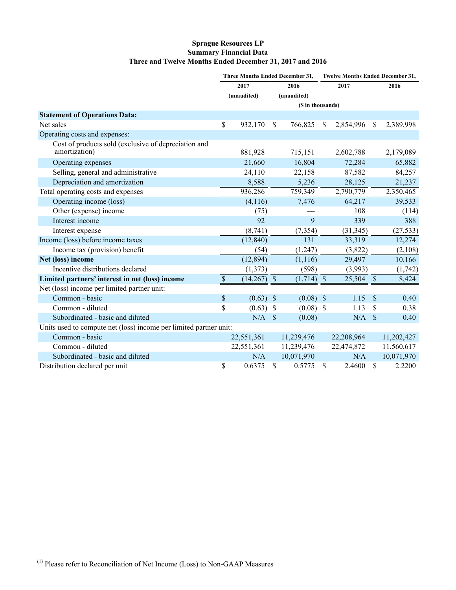#### **Sprague Resources LP Summary Financial Data Three and Twelve Months Ended December 31, 2017 and 2016**

|                                                                       | Three Months Ended December 31, |             |               |                  | <b>Twelve Months Ended December 31,</b> |            |               |            |  |
|-----------------------------------------------------------------------|---------------------------------|-------------|---------------|------------------|-----------------------------------------|------------|---------------|------------|--|
|                                                                       | 2017<br>(unaudited)             |             | 2016          |                  | 2017                                    |            |               | 2016       |  |
|                                                                       |                                 |             |               | (unaudited)      |                                         |            |               |            |  |
|                                                                       |                                 |             |               |                  | (\$ in thousands)                       |            |               |            |  |
| <b>Statement of Operations Data:</b>                                  |                                 |             |               |                  |                                         |            |               |            |  |
| Net sales                                                             | \$                              | 932,170     | $\mathcal{S}$ | 766,825          | \$                                      | 2,854,996  | \$            | 2,389,998  |  |
| Operating costs and expenses:                                         |                                 |             |               |                  |                                         |            |               |            |  |
| Cost of products sold (exclusive of depreciation and<br>amortization) |                                 | 881,928     |               | 715,151          |                                         | 2,602,788  |               | 2,179,089  |  |
| Operating expenses                                                    |                                 | 21,660      |               | 16,804           |                                         | 72,284     |               | 65,882     |  |
| Selling, general and administrative                                   |                                 | 24,110      |               | 22,158           |                                         | 87,582     |               | 84,257     |  |
| Depreciation and amortization                                         |                                 | 8,588       |               | 5,236            |                                         | 28,125     |               | 21,237     |  |
| Total operating costs and expenses                                    |                                 | 936,286     |               | 759,349          |                                         | 2,790,779  |               | 2,350,465  |  |
| Operating income (loss)                                               |                                 | (4,116)     |               | 7,476            |                                         | 64,217     |               | 39,533     |  |
| Other (expense) income                                                |                                 | (75)        |               |                  |                                         | 108        |               | (114)      |  |
| Interest income                                                       |                                 | 92          |               | 9                |                                         | 339        |               | 388        |  |
| Interest expense                                                      |                                 | (8,741)     |               | (7, 354)         |                                         | (31, 345)  |               | (27, 533)  |  |
| Income (loss) before income taxes                                     |                                 | (12, 840)   |               | $\overline{131}$ |                                         | 33,319     |               | 12,274     |  |
| Income tax (provision) benefit                                        |                                 | (54)        |               | (1,247)          |                                         | (3,822)    |               | (2,108)    |  |
| Net (loss) income                                                     |                                 | (12, 894)   |               | (1, 116)         |                                         | 29,497     |               | 10,166     |  |
| Incentive distributions declared                                      |                                 | (1,373)     |               | (598)            |                                         | (3,993)    |               | (1,742)    |  |
| Limited partners' interest in net (loss) income                       | $\boldsymbol{\mathsf{S}}$       | (14, 267)   | $\mathcal{S}$ | (1,714)          | $\mathcal{S}$                           | 25,504     | $\mathcal{S}$ | 8,424      |  |
| Net (loss) income per limited partner unit:                           |                                 |             |               |                  |                                         |            |               |            |  |
| Common - basic                                                        | \$                              | $(0.63)$ \$ |               | $(0.08)$ \$      |                                         | 1.15       | \$            | 0.40       |  |
| Common - diluted                                                      | \$                              | (0.63)      | \$            | $(0.08)$ \$      |                                         | 1.13       | \$            | 0.38       |  |
| Subordinated - basic and diluted                                      |                                 | N/A         | $\mathcal{S}$ | (0.08)           |                                         | N/A        | $\mathcal{S}$ | 0.40       |  |
| Units used to compute net (loss) income per limited partner unit:     |                                 |             |               |                  |                                         |            |               |            |  |
| Common - basic                                                        |                                 | 22,551,361  |               | 11,239,476       |                                         | 22,208,964 |               | 11,202,427 |  |
| Common - diluted                                                      |                                 | 22,551,361  |               | 11,239,476       |                                         | 22,474,872 |               | 11,560,617 |  |
| Subordinated - basic and diluted                                      |                                 | N/A         |               | 10,071,970       |                                         | N/A        |               | 10,071,970 |  |
| Distribution declared per unit                                        | \$                              | 0.6375      | \$            | 0.5775           | \$                                      | 2.4600     | \$            | 2.2200     |  |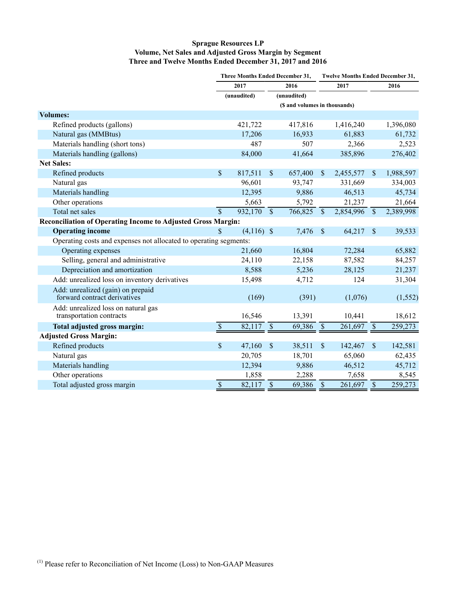#### **Sprague Resources LP Volume, Net Sales and Adjusted Gross Margin by Segment Three and Twelve Months Ended December 31, 2017 and 2016**

|                                                                   |                           | Three Months Ended December 31, |                          |                               |                          | <b>Twelve Months Ended December 31,</b> |                           |           |  |  |
|-------------------------------------------------------------------|---------------------------|---------------------------------|--------------------------|-------------------------------|--------------------------|-----------------------------------------|---------------------------|-----------|--|--|
|                                                                   | 2017                      |                                 | 2016                     |                               | 2017                     |                                         |                           | 2016      |  |  |
|                                                                   |                           | (unaudited)                     |                          | (unaudited)                   |                          |                                         |                           |           |  |  |
|                                                                   |                           |                                 |                          | (\$ and volumes in thousands) |                          |                                         |                           |           |  |  |
| <b>Volumes:</b>                                                   |                           |                                 |                          |                               |                          |                                         |                           |           |  |  |
| Refined products (gallons)                                        |                           | 421,722                         |                          | 417,816                       |                          | 1,416,240                               |                           | 1,396,080 |  |  |
| Natural gas (MMBtus)                                              |                           | 17,206                          |                          | 16,933                        |                          | 61,883                                  |                           | 61,732    |  |  |
| Materials handling (short tons)                                   |                           | 487                             |                          | 507                           |                          | 2,366                                   |                           | 2,523     |  |  |
| Materials handling (gallons)                                      |                           | 84,000                          |                          | 41,664                        |                          | 385,896                                 |                           | 276,402   |  |  |
| <b>Net Sales:</b>                                                 |                           |                                 |                          |                               |                          |                                         |                           |           |  |  |
| Refined products                                                  | $\mathbf{\hat{S}}$        | 817,511                         | $\mathbb{S}$             | 657,400                       | $\sqrt{S}$               | 2,455,577                               | $\sqrt{\ }$               | 1,988,597 |  |  |
| Natural gas                                                       |                           | 96,601                          |                          | 93,747                        |                          | 331,669                                 |                           | 334,003   |  |  |
| Materials handling                                                |                           | 12,395                          |                          | 9,886                         |                          | 46,513                                  |                           | 45,734    |  |  |
| Other operations                                                  |                           | 5,663                           |                          | 5,792                         |                          | 21,237                                  |                           | 21,664    |  |  |
| Total net sales                                                   | $\overline{\mathbb{S}}$   | 932,170                         | $\overline{\mathcal{S}}$ | 766,825                       | $\overline{\mathcal{S}}$ | 2,854,996                               | $\overline{\mathcal{S}}$  | 2,389,998 |  |  |
| Reconciliation of Operating Income to Adjusted Gross Margin:      |                           |                                 |                          |                               |                          |                                         |                           |           |  |  |
| <b>Operating income</b>                                           | \$.                       | $(4,116)$ \$                    |                          | 7,476                         | $\mathcal{S}$            | 64,217                                  | $\mathbb{S}$              | 39,533    |  |  |
| Operating costs and expenses not allocated to operating segments: |                           |                                 |                          |                               |                          |                                         |                           |           |  |  |
| Operating expenses                                                |                           | 21,660                          |                          | 16,804                        |                          | 72,284                                  |                           | 65,882    |  |  |
| Selling, general and administrative                               |                           | 24,110                          |                          | 22,158                        |                          | 87,582                                  |                           | 84,257    |  |  |
| Depreciation and amortization                                     |                           | 8,588                           |                          | 5,236                         |                          | 28,125                                  |                           | 21,237    |  |  |
| Add: unrealized loss on inventory derivatives                     |                           | 15,498                          |                          | 4,712                         |                          | 124                                     |                           | 31,304    |  |  |
| Add: unrealized (gain) on prepaid<br>forward contract derivatives |                           | (169)                           |                          | (391)                         |                          | (1,076)                                 |                           | (1, 552)  |  |  |
| Add: unrealized loss on natural gas<br>transportation contracts   |                           | 16,546                          |                          | 13,391                        |                          | 10,441                                  |                           | 18,612    |  |  |
| Total adjusted gross margin:                                      | $\boldsymbol{\mathsf{S}}$ | 82,117                          | $\sqrt{3}$               | 69,386                        | $\sqrt{3}$               | 261,697                                 | $\mathcal{S}$             | 259,273   |  |  |
| <b>Adjusted Gross Margin:</b>                                     |                           |                                 |                          |                               |                          |                                         |                           |           |  |  |
| Refined products                                                  | $\mathbf{\hat{S}}$        | 47,160                          | \$                       | 38,511                        | $\mathsf{\$}$            | 142,467                                 | $\boldsymbol{\mathsf{S}}$ | 142,581   |  |  |
| Natural gas                                                       |                           | 20,705                          |                          | 18,701                        |                          | 65,060                                  |                           | 62,435    |  |  |
| Materials handling                                                |                           | 12,394                          |                          | 9,886                         |                          | 46,512                                  |                           | 45,712    |  |  |
| Other operations                                                  |                           | 1,858                           |                          | 2,288                         |                          | 7,658                                   |                           | 8,545     |  |  |
| Total adjusted gross margin                                       | $\$$                      | 82,117                          | $\overline{\mathbf{s}}$  | 69,386                        | $\overline{\mathcal{S}}$ | 261,697                                 | $\sqrt{\ }$               | 259,273   |  |  |